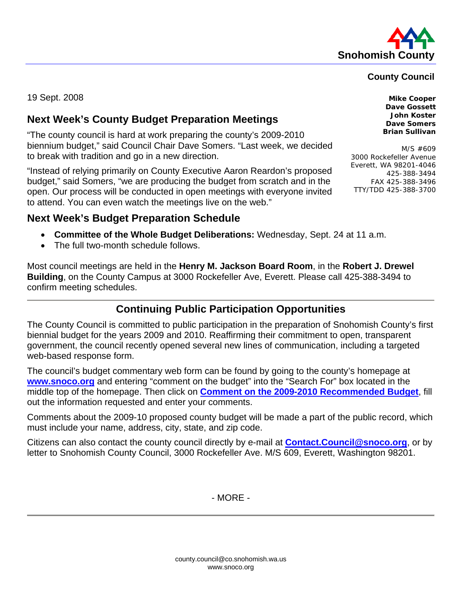

### **County Council**

19 Sept. 2008 **Mike Cooper** 

## **Next Week's County Budget Preparation Meetings**

"The county council is hard at work preparing the county's 2009-2010 biennium budget," said Council Chair Dave Somers. "Last week, we decided to break with tradition and go in a new direction.

"Instead of relying primarily on County Executive Aaron Reardon's proposed budget," said Somers, "we are producing the budget from scratch and in the open. Our process will be conducted in open meetings with everyone invited to attend. You can even watch the meetings live on the web."

**Next Week's Budget Preparation Schedule** 

- **Committee of the Whole Budget Deliberations:** Wednesday, Sept. 24 at 11 a.m.
- The full two-month schedule follows.

Most council meetings are held in the **Henry M. Jackson Board Room**, in the **Robert J. Drewel Building**, on the County Campus at 3000 Rockefeller Ave, Everett. Please call 425-388-3494 to confirm meeting schedules.

## **Continuing Public Participation Opportunities**

The County Council is committed to public participation in the preparation of Snohomish County's first biennial budget for the years 2009 and 2010. Reaffirming their commitment to open, transparent government, the council recently opened several new lines of communication, including a targeted web-based response form.

The council's budget commentary web form can be found by going to the county's homepage at **www.snoco.org** and entering "comment on the budget" into the "Search For" box located in the middle top of the homepage. Then click on **[Comment on the 2009-2010 Recommended Budget](https://web5.co.snohomish.wa.us/council/Budgettestimony/)**, fill out the information requested and enter your comments.

Comments about the 2009-10 proposed county budget will be made a part of the public record, which must include your name, address, city, state, and zip code.

Citizens can also contact the county council directly by e-mail at **Contact.Council@snoco.org**, or by letter to Snohomish County Council, 3000 Rockefeller Ave. M/S 609, Everett, Washington 98201.

- MORE -

**Dave Gossett John Koster Dave Somers Brian Sullivan** 

M/S #609 3000 Rockefeller Avenue Everett, WA 98201-4046 425-388-3494 FAX 425-388-3496 TTY/TDD 425-388-3700